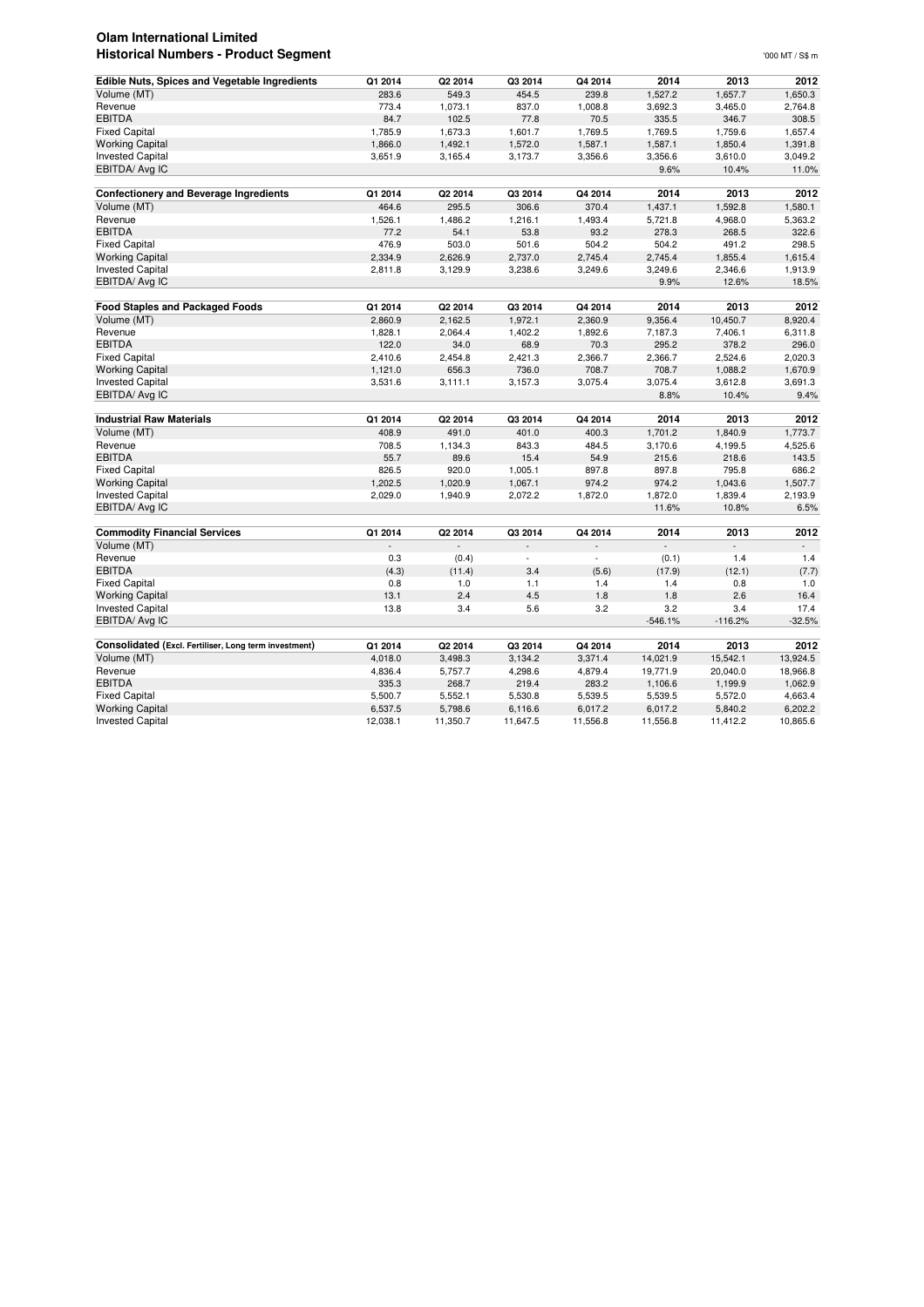## **Olam International Limited Historical Numbers - Product Segment** '000 MT / S\$ m

| <b>Edible Nuts, Spices and Vegetable Ingredients</b>  | Q1 2014            | Q2 2014            | Q3 2014            | Q4 2014            | 2014               | 2013               | 2012               |
|-------------------------------------------------------|--------------------|--------------------|--------------------|--------------------|--------------------|--------------------|--------------------|
| Volume (MT)                                           | 283.6              | 549.3              | 454.5              | 239.8              | 1,527.2            | 1,657.7            | 1,650.3            |
| Revenue                                               | 773.4              | 1,073.1            | 837.0              | 1,008.8            | 3,692.3            | 3,465.0            | 2,764.8            |
| <b>EBITDA</b>                                         | 84.7               | 102.5              | 77.8               | 70.5               | 335.5              | 346.7              | 308.5              |
| <b>Fixed Capital</b>                                  | 1,785.9            | 1,673.3            | 1,601.7            | 1,769.5            | 1,769.5            | 1,759.6            | 1,657.4            |
| <b>Working Capital</b>                                | 1,866.0            | 1,492.1            | 1,572.0            | 1,587.1            | 1,587.1            | 1,850.4            | 1,391.8            |
| <b>Invested Capital</b>                               | 3,651.9            | 3,165.4            | 3,173.7            | 3,356.6            | 3,356.6            | 3,610.0            | 3,049.2            |
| EBITDA/ Avg IC                                        |                    |                    |                    |                    | 9.6%               | 10.4%              | 11.0%              |
| <b>Confectionery and Beverage Ingredients</b>         | Q1 2014            | Q2 2014            | Q3 2014            | Q4 2014            | 2014               | 2013               | 2012               |
| Volume (MT)                                           | 464.6              | 295.5              | 306.6              | 370.4              | 1,437.1            | 1,592.8            | 1,580.1            |
| Revenue                                               | 1,526.1            | 1,486.2            | 1,216.1            | 1,493.4            | 5,721.8            | 4,968.0            | 5,363.2            |
| <b>EBITDA</b>                                         | 77.2               | 54.1               | 53.8               | 93.2               | 278.3              | 268.5              | 322.6              |
| <b>Fixed Capital</b>                                  | 476.9              | 503.0              | 501.6              | 504.2              | 504.2              | 491.2              | 298.5              |
| <b>Working Capital</b>                                | 2,334.9            | 2,626.9            | 2,737.0            | 2,745.4            | 2,745.4            | 1,855.4            | 1,615.4            |
| <b>Invested Capital</b>                               | 2,811.8            | 3,129.9            | 3,238.6            | 3,249.6            | 3,249.6            | 2,346.6            | 1,913.9            |
| EBITDA/ Avg IC                                        |                    |                    |                    |                    | 9.9%               | 12.6%              | 18.5%              |
|                                                       |                    |                    |                    |                    |                    |                    |                    |
| <b>Food Staples and Packaged Foods</b>                | Q1 2014            | Q2 2014            | Q3 2014            | Q4 2014            | 2014               | 2013               | 2012               |
| Volume (MT)                                           | 2,860.9            | 2,162.5            | 1,972.1            | 2,360.9            | 9,356.4            | 10,450.7           | 8,920.4            |
| Revenue                                               | 1,828.1            | 2,064.4            | 1,402.2            | 1,892.6            | 7,187.3            | 7,406.1            | 6,311.8            |
| <b>EBITDA</b>                                         | 122.0              | 34.0               | 68.9               | 70.3               | 295.2              | 378.2              | 296.0              |
| <b>Fixed Capital</b><br><b>Working Capital</b>        | 2,410.6            | 2,454.8<br>656.3   | 2,421.3            | 2,366.7<br>708.7   | 2,366.7<br>708.7   | 2,524.6            | 2,020.3            |
| <b>Invested Capital</b>                               | 1,121.0            |                    | 736.0              |                    | 3,075.4            | 1,088.2            | 1,670.9<br>3,691.3 |
|                                                       | 3,531.6            | 3,111.1            | 3,157.3            | 3,075.4            |                    | 3,612.8            |                    |
| EBITDA/ Avg IC                                        |                    |                    |                    |                    | 8.8%               | 10.4%              | 9.4%               |
|                                                       |                    |                    |                    |                    |                    |                    |                    |
| <b>Industrial Raw Materials</b>                       | Q1 2014            | Q2 2014            | Q3 2014            | Q4 2014            | 2014               | 2013               | 2012               |
| Volume (MT)                                           | 408.9              | 491.0              | 401.0              | 400.3              | 1,701.2            | 1,840.9            | 1,773.7            |
| Revenue                                               | 708.5              | 1,134.3            | 843.3              | 484.5              | 3,170.6            | 4,199.5            | 4,525.6            |
| <b>EBITDA</b>                                         | 55.7               | 89.6               | 15.4               | 54.9               | 215.6              | 218.6              | 143.5              |
| <b>Fixed Capital</b>                                  | 826.5              | 920.0              | 1,005.1            | 897.8              | 897.8              | 795.8              | 686.2              |
| <b>Working Capital</b>                                | 1,202.5            | 1,020.9            | 1,067.1            | 974.2              | 974.2              | 1,043.6            | 1,507.7            |
| <b>Invested Capital</b>                               | 2,029.0            | 1,940.9            | 2,072.2            | 1,872.0            | 1,872.0            | 1,839.4            | 2,193.9            |
| EBITDA/ Avg IC                                        |                    |                    |                    |                    | 11.6%              | 10.8%              | 6.5%               |
| <b>Commodity Financial Services</b>                   | Q1 2014            | Q2 2014            | Q3 2014            | Q4 2014            | 2014               | 2013               | 2012               |
| Volume (MT)                                           |                    |                    |                    |                    |                    |                    | $\bar{a}$          |
| Revenue                                               | 0.3                | (0.4)              |                    |                    | (0.1)              | 1.4                | 1.4                |
| <b>EBITDA</b>                                         | (4.3)              | (11.4)             | 3.4                | (5.6)              | (17.9)             | (12.1)             | (7.7)              |
| <b>Fixed Capital</b>                                  | 0.8                | 1.0                | 1.1                | 1.4                | 1.4                | 0.8                | 1.0                |
| <b>Working Capital</b>                                | 13.1               | 2.4                | 4.5                | 1.8                | 1.8                | 2.6                | 16.4               |
| <b>Invested Capital</b>                               | 13.8               | 3.4                | 5.6                | 3.2                | 3.2                | 3.4                | 17.4               |
| EBITDA/ Avg IC                                        |                    |                    |                    |                    | $-546.1%$          | $-116.2%$          | $-32.5%$           |
|                                                       |                    |                    |                    |                    |                    |                    |                    |
| Consolidated (Excl. Fertiliser, Long term investment) | Q1 2014            | Q2 2014            | Q3 2014            | Q4 2014            | 2014               | 2013               | 2012               |
| Volume (MT)                                           | 4,018.0            | 3,498.3            | 3,134.2            | 3,371.4            | 14,021.9           | 15,542.1           | 13,924.5           |
| Revenue<br><b>EBITDA</b>                              | 4,836.4            | 5,757.7            | 4,298.6            | 4,879.4            | 19,771.9           | 20,040.0           | 18,966.8           |
| <b>Fixed Capital</b>                                  | 335.3              | 268.7              | 219.4              | 283.2              | 1,106.6            | 1,199.9            | 1,062.9<br>4,663.4 |
| <b>Working Capital</b>                                | 5,500.7<br>6,537.5 | 5,552.1<br>5,798.6 | 5,530.8<br>6,116.6 | 5,539.5<br>6,017.2 | 5,539.5<br>6,017.2 | 5,572.0<br>5,840.2 | 6,202.2            |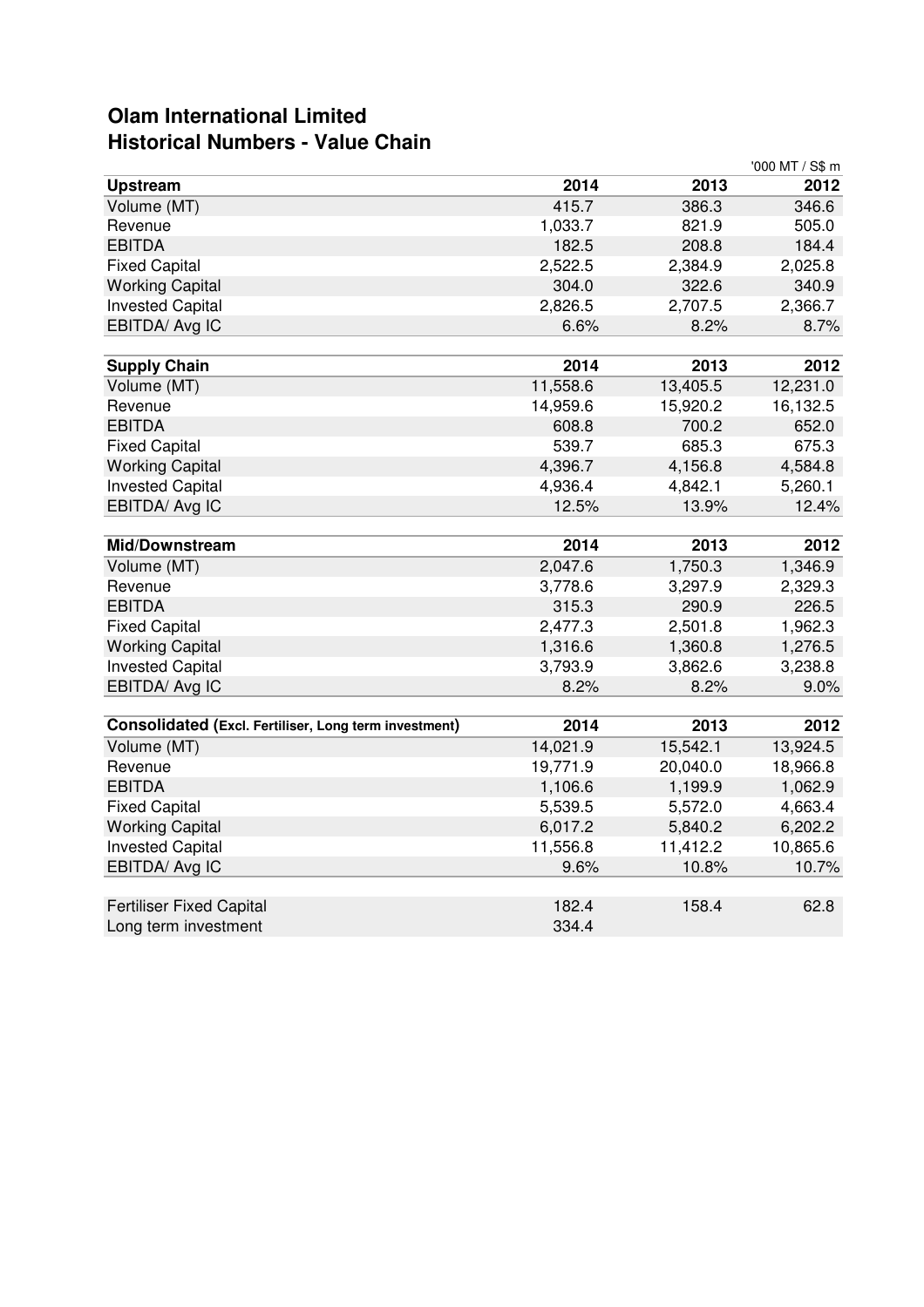## **Olam International Limited Historical Numbers - Value Chain**

|                                                       |          |          | '000 MT / S\$ m |
|-------------------------------------------------------|----------|----------|-----------------|
| <b>Upstream</b>                                       | 2014     | 2013     | 2012            |
| Volume (MT)                                           | 415.7    | 386.3    | 346.6           |
| Revenue                                               | 1,033.7  | 821.9    | 505.0           |
| <b>EBITDA</b>                                         | 182.5    | 208.8    | 184.4           |
| <b>Fixed Capital</b>                                  | 2,522.5  | 2,384.9  | 2,025.8         |
| <b>Working Capital</b>                                | 304.0    | 322.6    | 340.9           |
| <b>Invested Capital</b>                               | 2,826.5  | 2,707.5  | 2,366.7         |
| EBITDA/ Avg IC                                        | 6.6%     | 8.2%     | 8.7%            |
|                                                       |          |          |                 |
| <b>Supply Chain</b>                                   | 2014     | 2013     | 2012            |
| Volume (MT)                                           | 11,558.6 | 13,405.5 | 12,231.0        |
| Revenue                                               | 14,959.6 | 15,920.2 | 16,132.5        |
| <b>EBITDA</b>                                         | 608.8    | 700.2    | 652.0           |
| <b>Fixed Capital</b>                                  | 539.7    | 685.3    | 675.3           |
| <b>Working Capital</b>                                | 4,396.7  | 4,156.8  | 4,584.8         |
| <b>Invested Capital</b>                               | 4,936.4  | 4,842.1  | 5,260.1         |
| EBITDA/ Avg IC                                        | 12.5%    | 13.9%    | 12.4%           |
|                                                       |          |          |                 |
| <b>Mid/Downstream</b>                                 | 2014     | 2013     | 2012            |
| Volume (MT)                                           | 2,047.6  | 1,750.3  | 1,346.9         |
| Revenue                                               | 3,778.6  | 3,297.9  | 2,329.3         |
| <b>EBITDA</b>                                         | 315.3    | 290.9    | 226.5           |
| <b>Fixed Capital</b>                                  | 2,477.3  | 2,501.8  | 1,962.3         |
| <b>Working Capital</b>                                | 1,316.6  | 1,360.8  | 1,276.5         |
| <b>Invested Capital</b>                               | 3,793.9  | 3,862.6  | 3,238.8         |
| EBITDA/ Avg IC                                        | 8.2%     | 8.2%     | 9.0%            |
|                                                       |          |          |                 |
| Consolidated (Excl. Fertiliser, Long term investment) | 2014     | 2013     | 2012            |
| Volume (MT)                                           | 14,021.9 | 15,542.1 | 13,924.5        |
| Revenue                                               | 19,771.9 | 20,040.0 | 18,966.8        |
| <b>EBITDA</b>                                         | 1,106.6  | 1,199.9  | 1,062.9         |
| <b>Fixed Capital</b>                                  | 5,539.5  | 5,572.0  | 4,663.4         |
| <b>Working Capital</b>                                | 6,017.2  | 5,840.2  | 6,202.2         |
| <b>Invested Capital</b>                               | 11,556.8 | 11,412.2 | 10,865.6        |
| EBITDA/ Avg IC                                        | 9.6%     | 10.8%    | 10.7%           |
|                                                       |          |          |                 |
| <b>Fertiliser Fixed Capital</b>                       | 182.4    | 158.4    | 62.8            |
| Long term investment                                  | 334.4    |          |                 |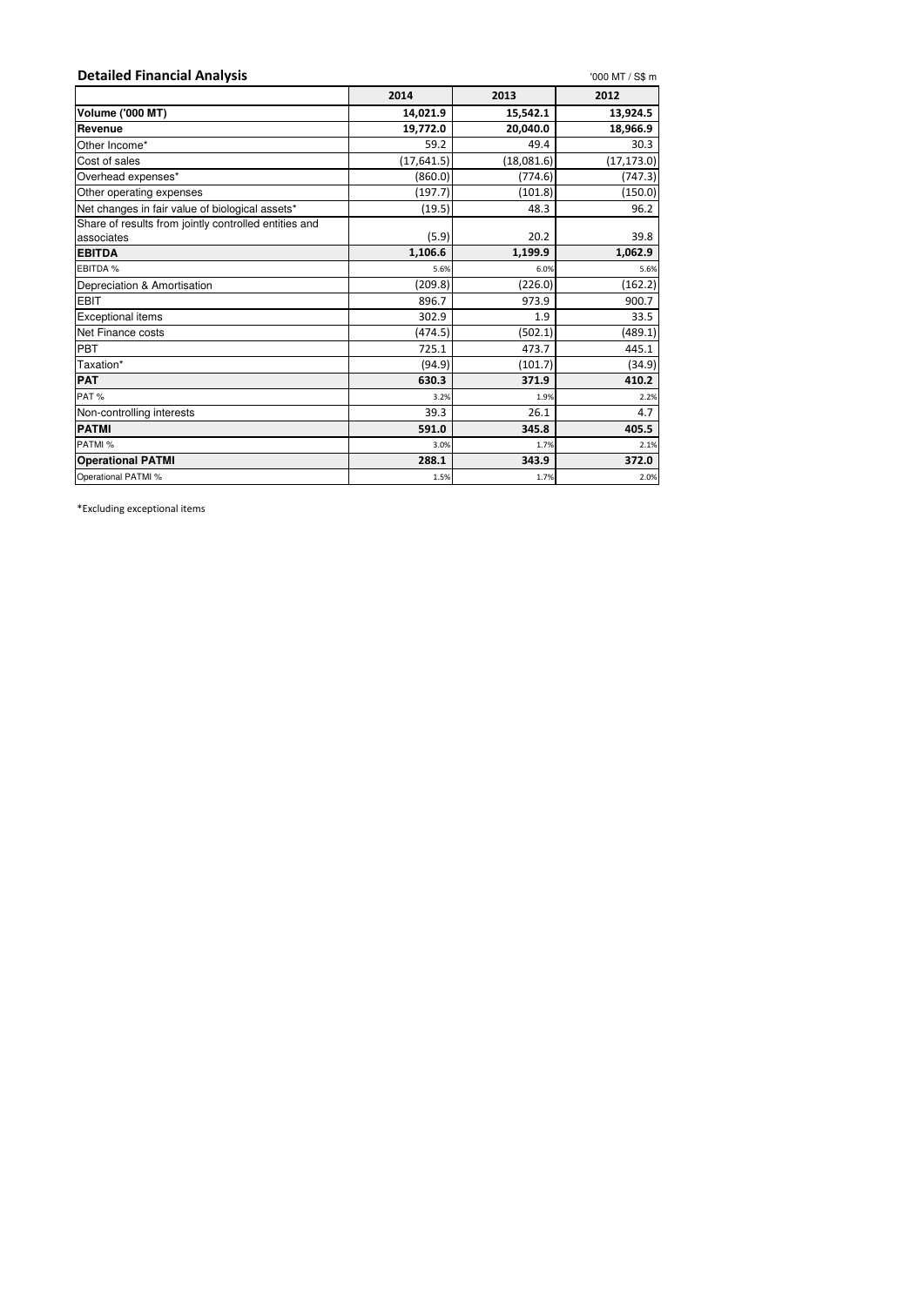| <b>Detailed Financial Analysis</b>                    |             |            | '000 MT / S\$ m |
|-------------------------------------------------------|-------------|------------|-----------------|
|                                                       | 2014        | 2013       | 2012            |
| <b>Volume ('000 MT)</b>                               | 14,021.9    | 15,542.1   | 13,924.5        |
| Revenue                                               | 19,772.0    | 20,040.0   | 18,966.9        |
| Other Income*                                         | 59.2        | 49.4       | 30.3            |
| Cost of sales                                         | (17, 641.5) | (18,081.6) | (17, 173.0)     |
| Overhead expenses*                                    | (860.0)     | (774.6)    | (747.3)         |
| Other operating expenses                              | (197.7)     | (101.8)    | (150.0)         |
| Net changes in fair value of biological assets*       | (19.5)      | 48.3       | 96.2            |
| Share of results from jointly controlled entities and |             |            |                 |
| associates                                            | (5.9)       | 20.2       | 39.8            |
| <b>EBITDA</b>                                         | 1,106.6     | 1,199.9    | 1,062.9         |
| EBITDA %                                              | 5.6%        | 6.0%       | 5.6%            |
| Depreciation & Amortisation                           | (209.8)     | (226.0)    | (162.2)         |
| <b>EBIT</b>                                           | 896.7       | 973.9      | 900.7           |
| <b>Exceptional items</b>                              | 302.9       | 1.9        | 33.5            |
| Net Finance costs                                     | (474.5)     | (502.1)    | (489.1)         |
| <b>PBT</b>                                            | 725.1       | 473.7      | 445.1           |
| Taxation*                                             | (94.9)      | (101.7)    | (34.9)          |
| <b>PAT</b>                                            | 630.3       | 371.9      | 410.2           |
| PAT%                                                  | 3.2%        | 1.9%       | 2.2%            |
| Non-controlling interests                             | 39.3        | 26.1       | 4.7             |
| <b>PATMI</b>                                          | 591.0       | 345.8      | 405.5           |
| PATMI %                                               | 3.0%        | 1.7%       | 2.1%            |
| <b>Operational PATMI</b>                              | 288.1       | 343.9      | 372.0           |
| Operational PATMI %                                   | 1.5%        | 1.7%       | 2.0%            |

\*Excluding exceptional items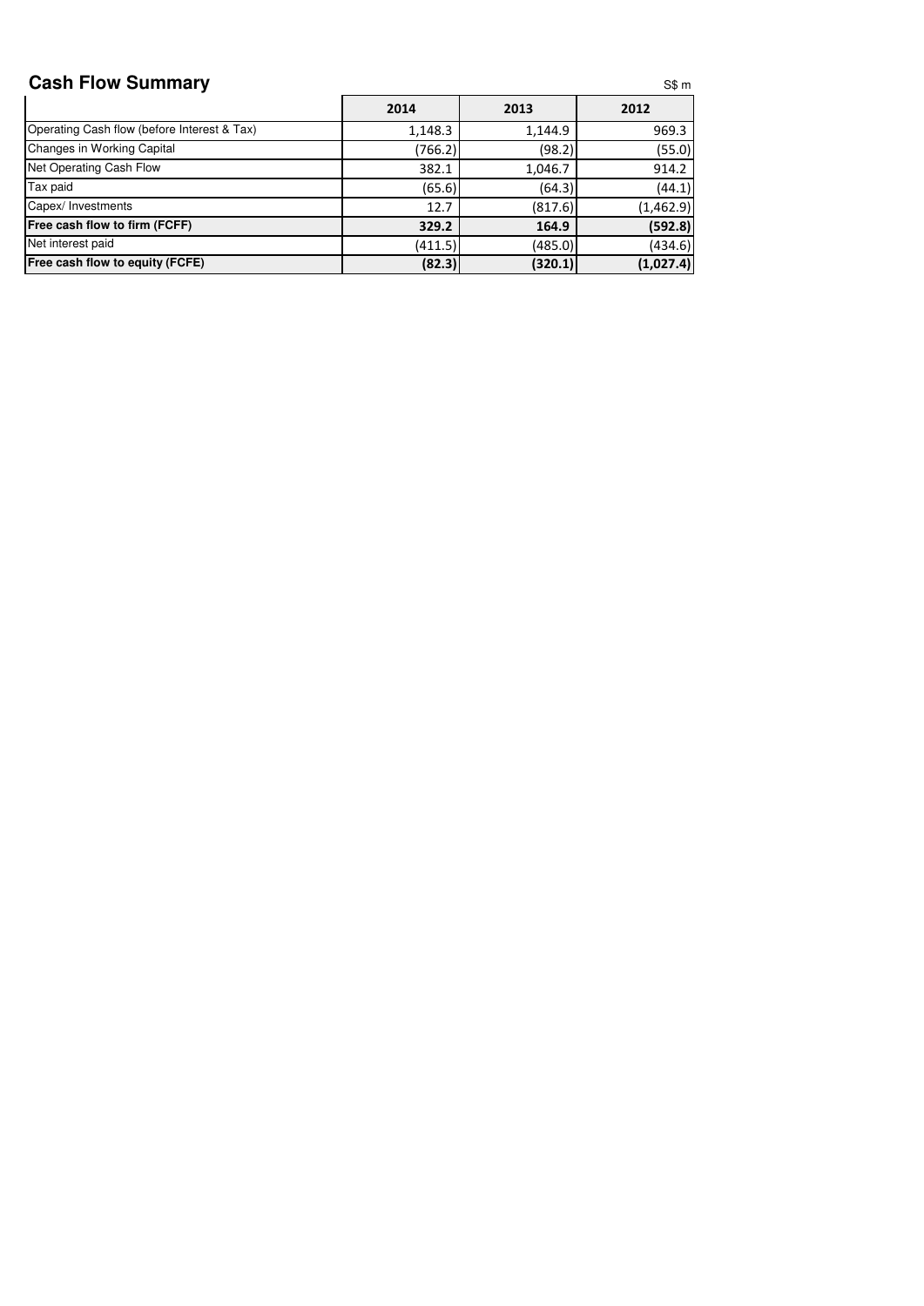## **Cash Flow Summary**

|                                             | 2014    | 2013    | 2012      |
|---------------------------------------------|---------|---------|-----------|
| Operating Cash flow (before Interest & Tax) | 1,148.3 | 1,144.9 | 969.3     |
| Changes in Working Capital                  | (766.2) | (98.2)  | (55.0)    |
| Net Operating Cash Flow                     | 382.1   | 1,046.7 | 914.2     |
| Tax paid                                    | (65.6)  | (64.3)  | (44.1)    |
| Capex/ Investments                          | 12.7    | (817.6) | (1,462.9) |
| <b>Free cash flow to firm (FCFF)</b>        | 329.2   | 164.9   | (592.8)   |
| Net interest paid                           | (411.5) | (485.0) | (434.6)   |
| <b>Free cash flow to equity (FCFE)</b>      | (82.3)  | (320.1) | (1,027.4) |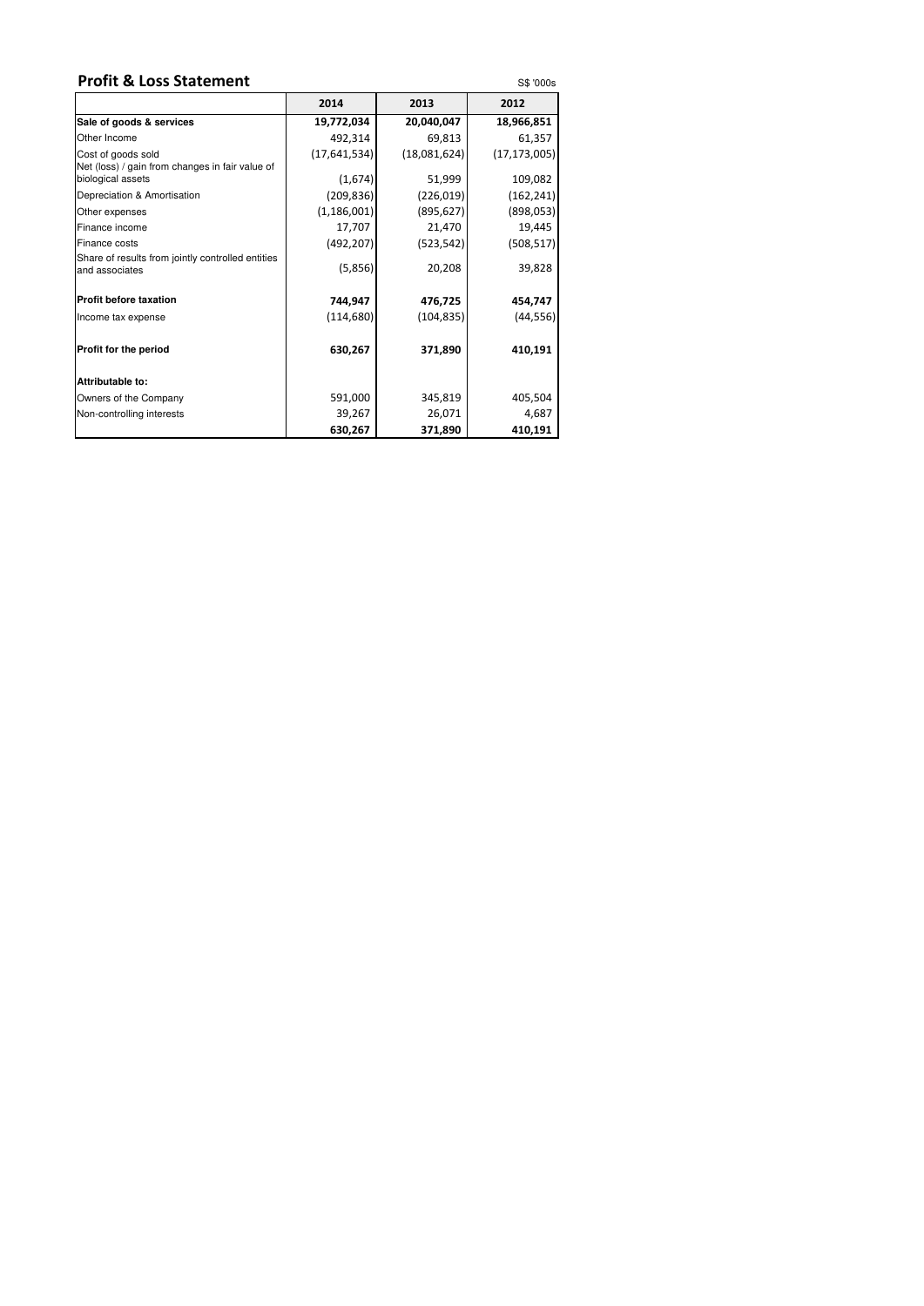## **Profit & Loss Statement** S\$ '000s

|                                                                                            | 2014          | 2013         | 2012           |
|--------------------------------------------------------------------------------------------|---------------|--------------|----------------|
| Sale of goods & services                                                                   | 19,772,034    | 20,040,047   | 18,966,851     |
| Other Income                                                                               | 492,314       | 69,813       | 61,357         |
| Cost of goods sold<br>Net (loss) / gain from changes in fair value of<br>biological assets | (17,641,534)  | (18,081,624) | (17, 173, 005) |
|                                                                                            | (1,674)       | 51,999       | 109,082        |
| Depreciation & Amortisation                                                                | (209, 836)    | (226, 019)   | (162, 241)     |
| Other expenses                                                                             | (1, 186, 001) | (895, 627)   | (898, 053)     |
| Finance income                                                                             | 17,707        | 21,470       | 19,445         |
| Finance costs                                                                              | (492, 207)    | (523, 542)   | (508, 517)     |
| Share of results from jointly controlled entities<br>and associates                        | (5,856)       | 20,208       | 39,828         |
| <b>Profit before taxation</b>                                                              | 744,947       | 476,725      | 454,747        |
| Income tax expense                                                                         | (114, 680)    | (104, 835)   | (44, 556)      |
| <b>Profit for the period</b>                                                               | 630,267       | 371,890      | 410,191        |
| Attributable to:                                                                           |               |              |                |
| Owners of the Company                                                                      | 591,000       | 345,819      | 405,504        |
| Non-controlling interests                                                                  | 39,267        | 26,071       | 4,687          |
|                                                                                            | 630,267       | 371,890      | 410,191        |